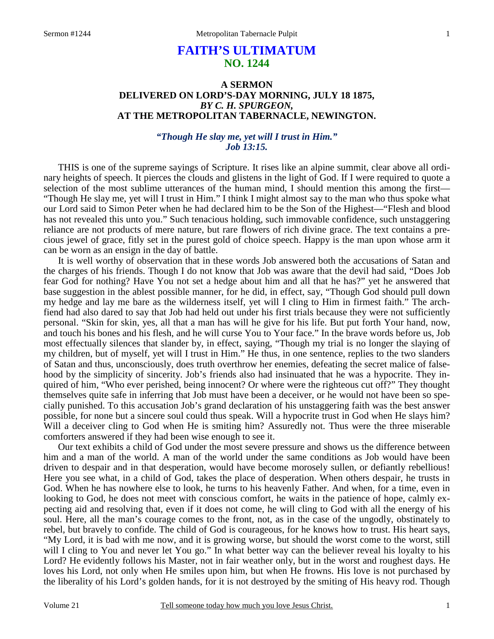# **FAITH'S ULTIMATUM NO. 1244**

## **A SERMON DELIVERED ON LORD'S-DAY MORNING, JULY 18 1875,**  *BY C. H. SPURGEON,*  **AT THE METROPOLITAN TABERNACLE, NEWINGTON.**

### *"Though He slay me, yet will I trust in Him." Job 13:15.*

THIS is one of the supreme sayings of Scripture. It rises like an alpine summit, clear above all ordinary heights of speech. It pierces the clouds and glistens in the light of God. If I were required to quote a selection of the most sublime utterances of the human mind, I should mention this among the first— "Though He slay me, yet will I trust in Him." I think I might almost say to the man who thus spoke what our Lord said to Simon Peter when he had declared him to be the Son of the Highest—"Flesh and blood has not revealed this unto you." Such tenacious holding, such immovable confidence, such unstaggering reliance are not products of mere nature, but rare flowers of rich divine grace. The text contains a precious jewel of grace, fitly set in the purest gold of choice speech. Happy is the man upon whose arm it can be worn as an ensign in the day of battle.

It is well worthy of observation that in these words Job answered both the accusations of Satan and the charges of his friends. Though I do not know that Job was aware that the devil had said, "Does Job fear God for nothing? Have You not set a hedge about him and all that he has?" yet he answered that base suggestion in the ablest possible manner, for he did, in effect, say, "Though God should pull down my hedge and lay me bare as the wilderness itself, yet will I cling to Him in firmest faith." The archfiend had also dared to say that Job had held out under his first trials because they were not sufficiently personal. "Skin for skin, yes, all that a man has will he give for his life. But put forth Your hand, now, and touch his bones and his flesh, and he will curse You to Your face." In the brave words before us, Job most effectually silences that slander by, in effect, saying, "Though my trial is no longer the slaying of my children, but of myself, yet will I trust in Him." He thus, in one sentence, replies to the two slanders of Satan and thus, unconsciously, does truth overthrow her enemies, defeating the secret malice of falsehood by the simplicity of sincerity. Job's friends also had insinuated that he was a hypocrite. They inquired of him, "Who ever perished, being innocent? Or where were the righteous cut off?" They thought themselves quite safe in inferring that Job must have been a deceiver, or he would not have been so specially punished. To this accusation Job's grand declaration of his unstaggering faith was the best answer possible, for none but a sincere soul could thus speak. Will a hypocrite trust in God when He slays him? Will a deceiver cling to God when He is smiting him? Assuredly not. Thus were the three miserable comforters answered if they had been wise enough to see it.

Our text exhibits a child of God under the most severe pressure and shows us the difference between him and a man of the world. A man of the world under the same conditions as Job would have been driven to despair and in that desperation, would have become morosely sullen, or defiantly rebellious! Here you see what, in a child of God, takes the place of desperation. When others despair, he trusts in God. When he has nowhere else to look, he turns to his heavenly Father. And when, for a time, even in looking to God, he does not meet with conscious comfort, he waits in the patience of hope, calmly expecting aid and resolving that, even if it does not come, he will cling to God with all the energy of his soul. Here, all the man's courage comes to the front, not, as in the case of the ungodly, obstinately to rebel, but bravely to confide. The child of God is courageous, for he knows how to trust. His heart says, "My Lord, it is bad with me now, and it is growing worse, but should the worst come to the worst, still will I cling to You and never let You go." In what better way can the believer reveal his loyalty to his Lord? He evidently follows his Master, not in fair weather only, but in the worst and roughest days. He loves his Lord, not only when He smiles upon him, but when He frowns. His love is not purchased by the liberality of his Lord's golden hands, for it is not destroyed by the smiting of His heavy rod. Though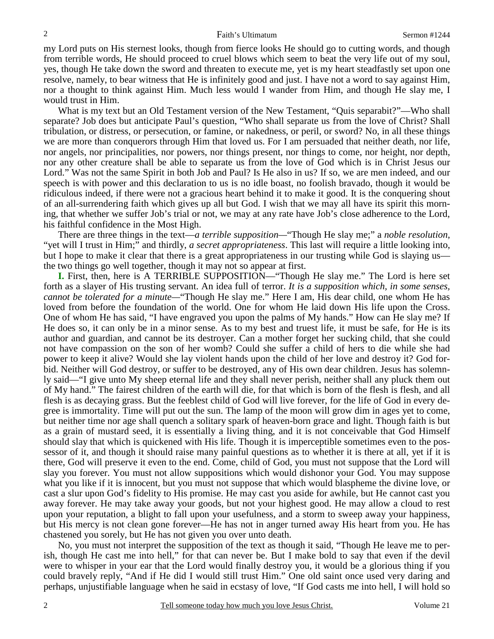my Lord puts on His sternest looks, though from fierce looks He should go to cutting words, and though from terrible words, He should proceed to cruel blows which seem to beat the very life out of my soul, yes, though He take down the sword and threaten to execute me, yet is my heart steadfastly set upon one resolve, namely, to bear witness that He is infinitely good and just. I have not a word to say against Him, nor a thought to think against Him. Much less would I wander from Him, and though He slay me, I would trust in Him.

What is my text but an Old Testament version of the New Testament, "Quis separabit?"—Who shall separate? Job does but anticipate Paul's question, "Who shall separate us from the love of Christ? Shall tribulation, or distress, or persecution, or famine, or nakedness, or peril, or sword? No, in all these things we are more than conquerors through Him that loved us. For I am persuaded that neither death, nor life, nor angels, nor principalities, nor powers, nor things present, nor things to come, nor height, nor depth, nor any other creature shall be able to separate us from the love of God which is in Christ Jesus our Lord." Was not the same Spirit in both Job and Paul? Is He also in us? If so, we are men indeed, and our speech is with power and this declaration to us is no idle boast, no foolish bravado, though it would be ridiculous indeed, if there were not a gracious heart behind it to make it good. It is the conquering shout of an all-surrendering faith which gives up all but God. I wish that we may all have its spirit this morning, that whether we suffer Job's trial or not, we may at any rate have Job's close adherence to the Lord, his faithful confidence in the Most High.

There are three things in the text—*a terrible supposition—*"Though He slay me;" a *noble resolution*, "yet will I trust in Him;" and thirdly, *a secret appropriateness*. This last will require a little looking into, but I hope to make it clear that there is a great appropriateness in our trusting while God is slaying us the two things go well together, though it may not so appear at first.

**I.** First, then, here is A TERRIBLE SUPPOSITION—"Though He slay me." The Lord is here set forth as a slayer of His trusting servant. An idea full of terror. *It is a supposition which, in some senses, cannot be tolerated for a minute—*"Though He slay me." Here I am, His dear child, one whom He has loved from before the foundation of the world. One for whom He laid down His life upon the Cross. One of whom He has said, "I have engraved you upon the palms of My hands." How can He slay me? If He does so, it can only be in a minor sense. As to my best and truest life, it must be safe, for He is its author and guardian, and cannot be its destroyer. Can a mother forget her sucking child, that she could not have compassion on the son of her womb? Could she suffer a child of hers to die while she had power to keep it alive? Would she lay violent hands upon the child of her love and destroy it? God forbid. Neither will God destroy, or suffer to be destroyed, any of His own dear children. Jesus has solemnly said—"I give unto My sheep eternal life and they shall never perish, neither shall any pluck them out of My hand." The fairest children of the earth will die, for that which is born of the flesh is flesh, and all flesh is as decaying grass. But the feeblest child of God will live forever, for the life of God in every degree is immortality. Time will put out the sun. The lamp of the moon will grow dim in ages yet to come, but neither time nor age shall quench a solitary spark of heaven-born grace and light. Though faith is but as a grain of mustard seed, it is essentially a living thing, and it is not conceivable that God Himself should slay that which is quickened with His life. Though it is imperceptible sometimes even to the possessor of it, and though it should raise many painful questions as to whether it is there at all, yet if it is there, God will preserve it even to the end. Come, child of God, you must not suppose that the Lord will slay you forever. You must not allow suppositions which would dishonor your God. You may suppose what you like if it is innocent, but you must not suppose that which would blaspheme the divine love, or cast a slur upon God's fidelity to His promise. He may cast you aside for awhile, but He cannot cast you away forever. He may take away your goods, but not your highest good. He may allow a cloud to rest upon your reputation, a blight to fall upon your usefulness, and a storm to sweep away your happiness, but His mercy is not clean gone forever—He has not in anger turned away His heart from you. He has chastened you sorely, but He has not given you over unto death.

No, you must not interpret the supposition of the text as though it said, "Though He leave me to perish, though He cast me into hell," for that can never be. But I make bold to say that even if the devil were to whisper in your ear that the Lord would finally destroy you, it would be a glorious thing if you could bravely reply, "And if He did I would still trust Him." One old saint once used very daring and perhaps, unjustifiable language when he said in ecstasy of love, "If God casts me into hell, I will hold so

2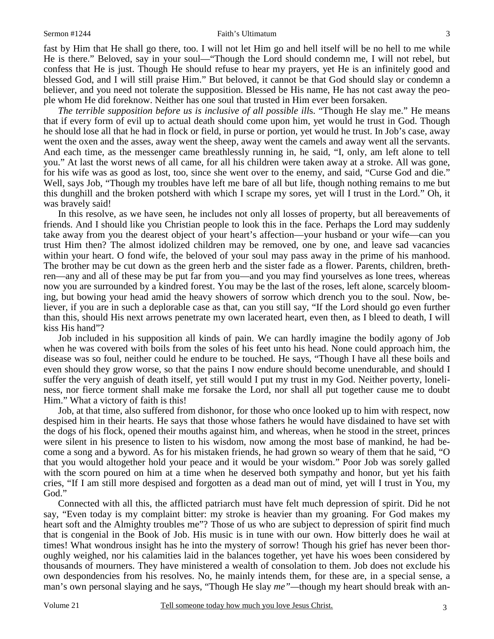fast by Him that He shall go there, too. I will not let Him go and hell itself will be no hell to me while He is there." Beloved, say in your soul—"Though the Lord should condemn me, I will not rebel, but confess that He is just. Though He should refuse to hear my prayers, yet He is an infinitely good and blessed God, and I will still praise Him." But beloved, it cannot be that God should slay or condemn a believer, and you need not tolerate the supposition. Blessed be His name, He has not cast away the people whom He did foreknow. Neither has one soul that trusted in Him ever been forsaken.

*The terrible supposition before us is inclusive of all possible ills.* "Though He slay me." He means that if every form of evil up to actual death should come upon him, yet would he trust in God. Though he should lose all that he had in flock or field, in purse or portion, yet would he trust. In Job's case, away went the oxen and the asses, away went the sheep, away went the camels and away went all the servants. And each time, as the messenger came breathlessly running in, he said, "I, only, am left alone to tell you." At last the worst news of all came, for all his children were taken away at a stroke. All was gone, for his wife was as good as lost, too, since she went over to the enemy, and said, "Curse God and die." Well, says Job, "Though my troubles have left me bare of all but life, though nothing remains to me but this dunghill and the broken potsherd with which I scrape my sores, yet will I trust in the Lord." Oh, it was bravely said!

In this resolve, as we have seen, he includes not only all losses of property, but all bereavements of friends. And I should like you Christian people to look this in the face. Perhaps the Lord may suddenly take away from you the dearest object of your heart's affection—your husband or your wife—can you trust Him then? The almost idolized children may be removed, one by one, and leave sad vacancies within your heart. O fond wife, the beloved of your soul may pass away in the prime of his manhood. The brother may be cut down as the green herb and the sister fade as a flower. Parents, children, brethren—any and all of these may be put far from you—and you may find yourselves as lone trees, whereas now you are surrounded by a kindred forest. You may be the last of the roses, left alone, scarcely blooming, but bowing your head amid the heavy showers of sorrow which drench you to the soul. Now, believer, if you are in such a deplorable case as that, can you still say, "If the Lord should go even further than this, should His next arrows penetrate my own lacerated heart, even then, as I bleed to death, I will kiss His hand"?

Job included in his supposition all kinds of pain. We can hardly imagine the bodily agony of Job when he was covered with boils from the soles of his feet unto his head. None could approach him, the disease was so foul, neither could he endure to be touched. He says, "Though I have all these boils and even should they grow worse, so that the pains I now endure should become unendurable, and should I suffer the very anguish of death itself, yet still would I put my trust in my God. Neither poverty, loneliness, nor fierce torment shall make me forsake the Lord, nor shall all put together cause me to doubt Him." What a victory of faith is this!

Job, at that time, also suffered from dishonor, for those who once looked up to him with respect, now despised him in their hearts. He says that those whose fathers he would have disdained to have set with the dogs of his flock, opened their mouths against him, and whereas, when he stood in the street, princes were silent in his presence to listen to his wisdom, now among the most base of mankind, he had become a song and a byword. As for his mistaken friends, he had grown so weary of them that he said, "O that you would altogether hold your peace and it would be your wisdom." Poor Job was sorely galled with the scorn poured on him at a time when he deserved both sympathy and honor, but yet his faith cries, "If I am still more despised and forgotten as a dead man out of mind, yet will I trust in You, my God."

Connected with all this, the afflicted patriarch must have felt much depression of spirit. Did he not say, "Even today is my complaint bitter: my stroke is heavier than my groaning. For God makes my heart soft and the Almighty troubles me"? Those of us who are subject to depression of spirit find much that is congenial in the Book of Job. His music is in tune with our own. How bitterly does he wail at times! What wondrous insight has he into the mystery of sorrow! Though his grief has never been thoroughly weighed, nor his calamities laid in the balances together, yet have his woes been considered by thousands of mourners. They have ministered a wealth of consolation to them. Job does not exclude his own despondencies from his resolves. No, he mainly intends them, for these are, in a special sense, a man's own personal slaying and he says, "Though He slay *me"—*though my heart should break with an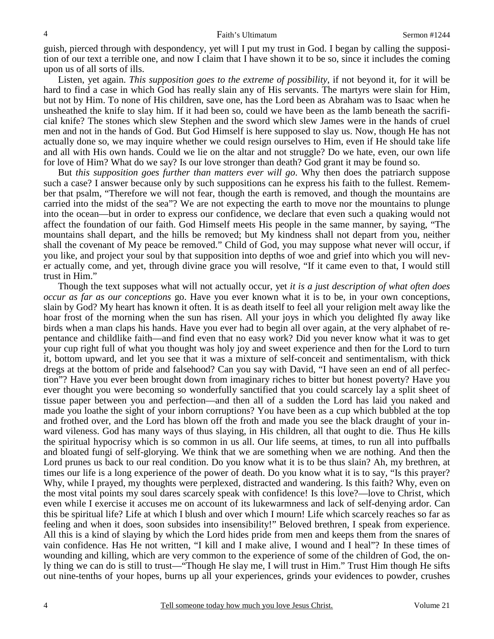guish, pierced through with despondency, yet will I put my trust in God. I began by calling the supposition of our text a terrible one, and now I claim that I have shown it to be so, since it includes the coming upon us of all sorts of ills.

Listen, yet again. *This supposition goes to the extreme of possibility*, if not beyond it, for it will be hard to find a case in which God has really slain any of His servants. The martyrs were slain for Him, but not by Him. To none of His children, save one, has the Lord been as Abraham was to Isaac when he unsheathed the knife to slay him. If it had been so, could we have been as the lamb beneath the sacrificial knife? The stones which slew Stephen and the sword which slew James were in the hands of cruel men and not in the hands of God. But God Himself is here supposed to slay us. Now, though He has not actually done so, we may inquire whether we could resign ourselves to Him, even if He should take life and all with His own hands. Could we lie on the altar and not struggle? Do we hate, even, our own life for love of Him? What do we say? Is our love stronger than death? God grant it may be found so.

But *this supposition goes further than matters ever will go*. Why then does the patriarch suppose such a case? I answer because only by such suppositions can he express his faith to the fullest. Remember that psalm, "Therefore we will not fear, though the earth is removed, and though the mountains are carried into the midst of the sea"? We are not expecting the earth to move nor the mountains to plunge into the ocean—but in order to express our confidence, we declare that even such a quaking would not affect the foundation of our faith. God Himself meets His people in the same manner, by saying, "The mountains shall depart, and the hills be removed; but My kindness shall not depart from you, neither shall the covenant of My peace be removed." Child of God, you may suppose what never will occur, if you like, and project your soul by that supposition into depths of woe and grief into which you will never actually come, and yet, through divine grace you will resolve, "If it came even to that, I would still trust in Him."

Though the text supposes what will not actually occur, yet *it is a just description of what often does occur as far as our conceptions* go. Have you ever known what it is to be, in your own conceptions, slain by God? My heart has known it often. It is as death itself to feel all your religion melt away like the hoar frost of the morning when the sun has risen. All your joys in which you delighted fly away like birds when a man claps his hands. Have you ever had to begin all over again, at the very alphabet of repentance and childlike faith—and find even that no easy work? Did you never know what it was to get your cup right full of what you thought was holy joy and sweet experience and then for the Lord to turn it, bottom upward, and let you see that it was a mixture of self-conceit and sentimentalism, with thick dregs at the bottom of pride and falsehood? Can you say with David, "I have seen an end of all perfection"? Have you ever been brought down from imaginary riches to bitter but honest poverty? Have you ever thought you were becoming so wonderfully sanctified that you could scarcely lay a split sheet of tissue paper between you and perfection—and then all of a sudden the Lord has laid you naked and made you loathe the sight of your inborn corruptions? You have been as a cup which bubbled at the top and frothed over, and the Lord has blown off the froth and made you see the black draught of your inward vileness. God has many ways of thus slaying, in His children, all that ought to die. Thus He kills the spiritual hypocrisy which is so common in us all. Our life seems, at times, to run all into puffballs and bloated fungi of self-glorying. We think that we are something when we are nothing. And then the Lord prunes us back to our real condition. Do you know what it is to be thus slain? Ah, my brethren, at times our life is a long experience of the power of death. Do you know what it is to say, "Is this prayer? Why, while I prayed, my thoughts were perplexed, distracted and wandering. Is this faith? Why, even on the most vital points my soul dares scarcely speak with confidence! Is this love?—love to Christ, which even while I exercise it accuses me on account of its lukewarmness and lack of self-denying ardor. Can this be spiritual life? Life at which I blush and over which I mourn! Life which scarcely reaches so far as feeling and when it does, soon subsides into insensibility!" Beloved brethren, I speak from experience. All this is a kind of slaying by which the Lord hides pride from men and keeps them from the snares of vain confidence. Has He not written, "I kill and I make alive, I wound and I heal"? In these times of wounding and killing, which are very common to the experience of some of the children of God, the only thing we can do is still to trust—"Though He slay me, I will trust in Him." Trust Him though He sifts out nine-tenths of your hopes, burns up all your experiences, grinds your evidences to powder, crushes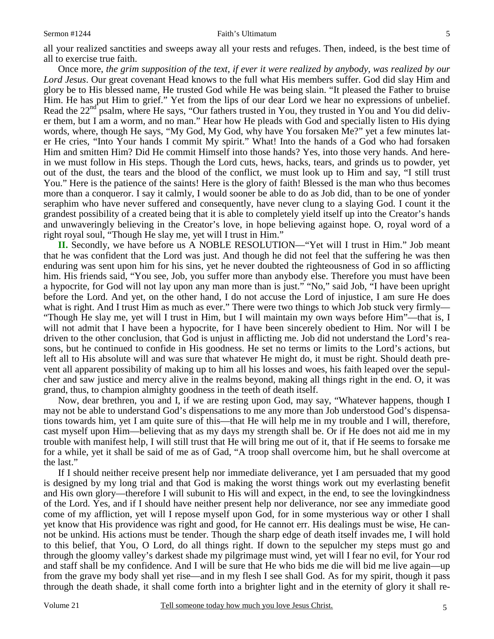all your realized sanctities and sweeps away all your rests and refuges. Then, indeed, is the best time of all to exercise true faith.

Once more, *the grim supposition of the text, if ever it were realized by anybody, was realized by our Lord Jesus*. Our great covenant Head knows to the full what His members suffer. God did slay Him and glory be to His blessed name, He trusted God while He was being slain. "It pleased the Father to bruise Him. He has put Him to grief." Yet from the lips of our dear Lord we hear no expressions of unbelief. Read the 22<sup>nd</sup> psalm, where He says, "Our fathers trusted in You, they trusted in You and You did deliver them, but I am a worm, and no man." Hear how He pleads with God and specially listen to His dying words, where, though He says, "My God, My God, why have You forsaken Me?" yet a few minutes later He cries, "Into Your hands I commit My spirit." What! Into the hands of a God who had forsaken Him and smitten Him? Did He commit Himself into those hands? Yes, into those very hands. And herein we must follow in His steps. Though the Lord cuts, hews, hacks, tears, and grinds us to powder, yet out of the dust, the tears and the blood of the conflict, we must look up to Him and say, "I still trust You." Here is the patience of the saints! Here is the glory of faith! Blessed is the man who thus becomes more than a conqueror. I say it calmly, I would sooner be able to do as Job did, than to be one of yonder seraphim who have never suffered and consequently, have never clung to a slaying God. I count it the grandest possibility of a created being that it is able to completely yield itself up into the Creator's hands and unwaveringly believing in the Creator's love, in hope believing against hope. O, royal word of a right royal soul, "Though He slay me, yet will I trust in Him."

**II.** Secondly, we have before us A NOBLE RESOLUTION—"Yet will I trust in Him." Job meant that he was confident that the Lord was just. And though he did not feel that the suffering he was then enduring was sent upon him for his sins, yet he never doubted the righteousness of God in so afflicting him. His friends said, "You see, Job, you suffer more than anybody else. Therefore you must have been a hypocrite, for God will not lay upon any man more than is just." "No," said Job, "I have been upright before the Lord. And yet, on the other hand, I do not accuse the Lord of injustice, I am sure He does what is right. And I trust Him as much as ever." There were two things to which Job stuck very firmly— "Though He slay me, yet will I trust in Him, but I will maintain my own ways before Him"—that is, I will not admit that I have been a hypocrite, for I have been sincerely obedient to Him. Nor will I be driven to the other conclusion, that God is unjust in afflicting me. Job did not understand the Lord's reasons, but he continued to confide in His goodness. He set no terms or limits to the Lord's actions, but left all to His absolute will and was sure that whatever He might do, it must be right. Should death prevent all apparent possibility of making up to him all his losses and woes, his faith leaped over the sepulcher and saw justice and mercy alive in the realms beyond, making all things right in the end. O, it was grand, thus, to champion almighty goodness in the teeth of death itself.

Now, dear brethren, you and I, if we are resting upon God, may say, "Whatever happens, though I may not be able to understand God's dispensations to me any more than Job understood God's dispensations towards him, yet I am quite sure of this—that He will help me in my trouble and I will, therefore, cast myself upon Him—believing that as my days my strength shall be. Or if He does not aid me in my trouble with manifest help, I will still trust that He will bring me out of it, that if He seems to forsake me for a while, yet it shall be said of me as of Gad, "A troop shall overcome him, but he shall overcome at the last."

If I should neither receive present help nor immediate deliverance, yet I am persuaded that my good is designed by my long trial and that God is making the worst things work out my everlasting benefit and His own glory—therefore I will subunit to His will and expect, in the end, to see the lovingkindness of the Lord. Yes, and if I should have neither present help nor deliverance, nor see any immediate good come of my affliction, yet will I repose myself upon God, for in some mysterious way or other I shall yet know that His providence was right and good, for He cannot err. His dealings must be wise, He cannot be unkind. His actions must be tender. Though the sharp edge of death itself invades me, I will hold to this belief, that You, O Lord, do all things right. If down to the sepulcher my steps must go and through the gloomy valley's darkest shade my pilgrimage must wind, yet will I fear no evil, for Your rod and staff shall be my confidence. And I will be sure that He who bids me die will bid me live again—up from the grave my body shall yet rise—and in my flesh I see shall God. As for my spirit, though it pass through the death shade, it shall come forth into a brighter light and in the eternity of glory it shall re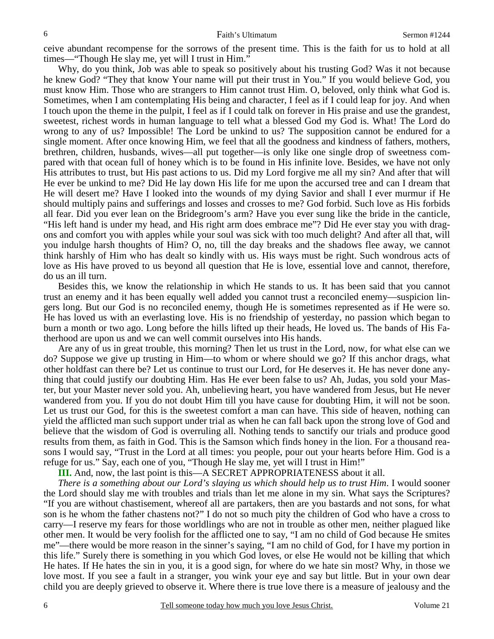ceive abundant recompense for the sorrows of the present time. This is the faith for us to hold at all times—"Though He slay me, yet will I trust in Him."

Why, do you think, Job was able to speak so positively about his trusting God? Was it not because he knew God? "They that know Your name will put their trust in You." If you would believe God, you must know Him. Those who are strangers to Him cannot trust Him. O, beloved, only think what God is. Sometimes, when I am contemplating His being and character, I feel as if I could leap for joy. And when I touch upon the theme in the pulpit, I feel as if I could talk on forever in His praise and use the grandest, sweetest, richest words in human language to tell what a blessed God my God is. What! The Lord do wrong to any of us? Impossible! The Lord be unkind to us? The supposition cannot be endured for a single moment. After once knowing Him, we feel that all the goodness and kindness of fathers, mothers, brethren, children, husbands, wives—all put together—is only like one single drop of sweetness compared with that ocean full of honey which is to be found in His infinite love. Besides, we have not only His attributes to trust, but His past actions to us. Did my Lord forgive me all my sin? And after that will He ever be unkind to me? Did He lay down His life for me upon the accursed tree and can I dream that He will desert me? Have I looked into the wounds of my dying Savior and shall I ever murmur if He should multiply pains and sufferings and losses and crosses to me? God forbid. Such love as His forbids all fear. Did you ever lean on the Bridegroom's arm? Have you ever sung like the bride in the canticle, "His left hand is under my head, and His right arm does embrace me"? Did He ever stay you with dragons and comfort you with apples while your soul was sick with too much delight? And after all that, will you indulge harsh thoughts of Him? O, no, till the day breaks and the shadows flee away, we cannot think harshly of Him who has dealt so kindly with us. His ways must be right. Such wondrous acts of love as His have proved to us beyond all question that He is love, essential love and cannot, therefore, do us an ill turn.

Besides this, we know the relationship in which He stands to us. It has been said that you cannot trust an enemy and it has been equally well added you cannot trust a reconciled enemy—suspicion lingers long. But our God is no reconciled enemy, though He is sometimes represented as if He were so. He has loved us with an everlasting love. His is no friendship of yesterday, no passion which began to burn a month or two ago. Long before the hills lifted up their heads, He loved us. The bands of His Fatherhood are upon us and we can well commit ourselves into His hands.

Are any of us in great trouble, this morning? Then let us trust in the Lord, now, for what else can we do? Suppose we give up trusting in Him—to whom or where should we go? If this anchor drags, what other holdfast can there be? Let us continue to trust our Lord, for He deserves it. He has never done anything that could justify our doubting Him. Has He ever been false to us? Ah, Judas, you sold your Master, but your Master never sold you. Ah, unbelieving heart, you have wandered from Jesus, but He never wandered from you. If you do not doubt Him till you have cause for doubting Him, it will not be soon. Let us trust our God, for this is the sweetest comfort a man can have. This side of heaven, nothing can yield the afflicted man such support under trial as when he can fall back upon the strong love of God and believe that the wisdom of God is overruling all. Nothing tends to sanctify our trials and produce good results from them, as faith in God. This is the Samson which finds honey in the lion. For a thousand reasons I would say, "Trust in the Lord at all times: you people, pour out your hearts before Him. God is a refuge for us." Say, each one of you, "Though He slay me, yet will I trust in Him!"

**III.** And, now, the last point is this—A SECRET APPROPRIATENESS about it all.

*There is a something about our Lord's slaying us which should help us to trust Him*. I would sooner the Lord should slay me with troubles and trials than let me alone in my sin. What says the Scriptures? "If you are without chastisement, whereof all are partakers, then are you bastards and not sons, for what son is he whom the father chastens not?" I do not so much pity the children of God who have a cross to carry—I reserve my fears for those worldlings who are not in trouble as other men, neither plagued like other men. It would be very foolish for the afflicted one to say, "I am no child of God because He smites me"—there would be more reason in the sinner's saying, "I am no child of God, for I have my portion in this life." Surely there is something in you which God loves, or else He would not be killing that which He hates. If He hates the sin in you, it is a good sign, for where do we hate sin most? Why, in those we love most. If you see a fault in a stranger, you wink your eye and say but little. But in your own dear child you are deeply grieved to observe it. Where there is true love there is a measure of jealousy and the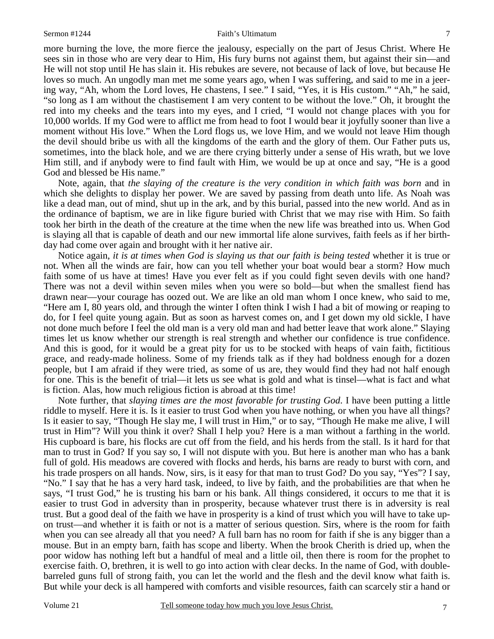more burning the love, the more fierce the jealousy, especially on the part of Jesus Christ. Where He sees sin in those who are very dear to Him, His fury burns not against them, but against their sin—and He will not stop until He has slain it. His rebukes are severe, not because of lack of love, but because He loves so much. An ungodly man met me some years ago, when I was suffering, and said to me in a jeering way, "Ah, whom the Lord loves, He chastens, I see." I said, "Yes, it is His custom." "Ah," he said, "so long as I am without the chastisement I am very content to be without the love." Oh, it brought the red into my cheeks and the tears into my eyes, and I cried, "I would not change places with you for 10,000 worlds. If my God were to afflict me from head to foot I would bear it joyfully sooner than live a moment without His love." When the Lord flogs us, we love Him, and we would not leave Him though the devil should bribe us with all the kingdoms of the earth and the glory of them. Our Father puts us, sometimes, into the black hole, and we are there crying bitterly under a sense of His wrath, but we love Him still, and if anybody were to find fault with Him, we would be up at once and say, "He is a good God and blessed be His name."

Note, again, that *the slaying of the creature is the very condition in which faith was born* and in which she delights to display her power. We are saved by passing from death unto life. As Noah was like a dead man, out of mind, shut up in the ark, and by this burial, passed into the new world. And as in the ordinance of baptism, we are in like figure buried with Christ that we may rise with Him. So faith took her birth in the death of the creature at the time when the new life was breathed into us. When God is slaying all that is capable of death and our new immortal life alone survives, faith feels as if her birthday had come over again and brought with it her native air.

Notice again, *it is at times when God is slaying us that our faith is being tested* whether it is true or not. When all the winds are fair, how can you tell whether your boat would bear a storm? How much faith some of us have at times! Have you ever felt as if you could fight seven devils with one hand? There was not a devil within seven miles when you were so bold—but when the smallest fiend has drawn near—your courage has oozed out. We are like an old man whom I once knew, who said to me, "Here am I, 80 years old, and through the winter I often think I wish I had a bit of mowing or reaping to do, for I feel quite young again. But as soon as harvest comes on, and I get down my old sickle, I have not done much before I feel the old man is a very old man and had better leave that work alone." Slaying times let us know whether our strength is real strength and whether our confidence is true confidence. And this is good, for it would be a great pity for us to be stocked with heaps of vain faith, fictitious grace, and ready-made holiness. Some of my friends talk as if they had boldness enough for a dozen people, but I am afraid if they were tried, as some of us are, they would find they had not half enough for one. This is the benefit of trial—it lets us see what is gold and what is tinsel—what is fact and what is fiction. Alas, how much religious fiction is abroad at this time!

Note further, that *slaying times are the most favorable for trusting God*. I have been putting a little riddle to myself. Here it is. Is it easier to trust God when you have nothing, or when you have all things? Is it easier to say, "Though He slay me, I will trust in Him," or to say, "Though He make me alive, I will trust in Him"? Will you think it over? Shall I help you? Here is a man without a farthing in the world. His cupboard is bare, his flocks are cut off from the field, and his herds from the stall. Is it hard for that man to trust in God? If you say so, I will not dispute with you. But here is another man who has a bank full of gold. His meadows are covered with flocks and herds, his barns are ready to burst with corn, and his trade prospers on all hands. Now, sirs, is it easy for that man to trust God? Do you say, "Yes"? I say, "No." I say that he has a very hard task, indeed, to live by faith, and the probabilities are that when he says, "I trust God," he is trusting his barn or his bank. All things considered, it occurs to me that it is easier to trust God in adversity than in prosperity, because whatever trust there is in adversity is real trust. But a good deal of the faith we have in prosperity is a kind of trust which you will have to take upon trust—and whether it is faith or not is a matter of serious question. Sirs, where is the room for faith when you can see already all that you need? A full barn has no room for faith if she is any bigger than a mouse. But in an empty barn, faith has scope and liberty. When the brook Cherith is dried up, when the poor widow has nothing left but a handful of meal and a little oil, then there is room for the prophet to exercise faith. O, brethren, it is well to go into action with clear decks. In the name of God, with doublebarreled guns full of strong faith, you can let the world and the flesh and the devil know what faith is. But while your deck is all hampered with comforts and visible resources, faith can scarcely stir a hand or